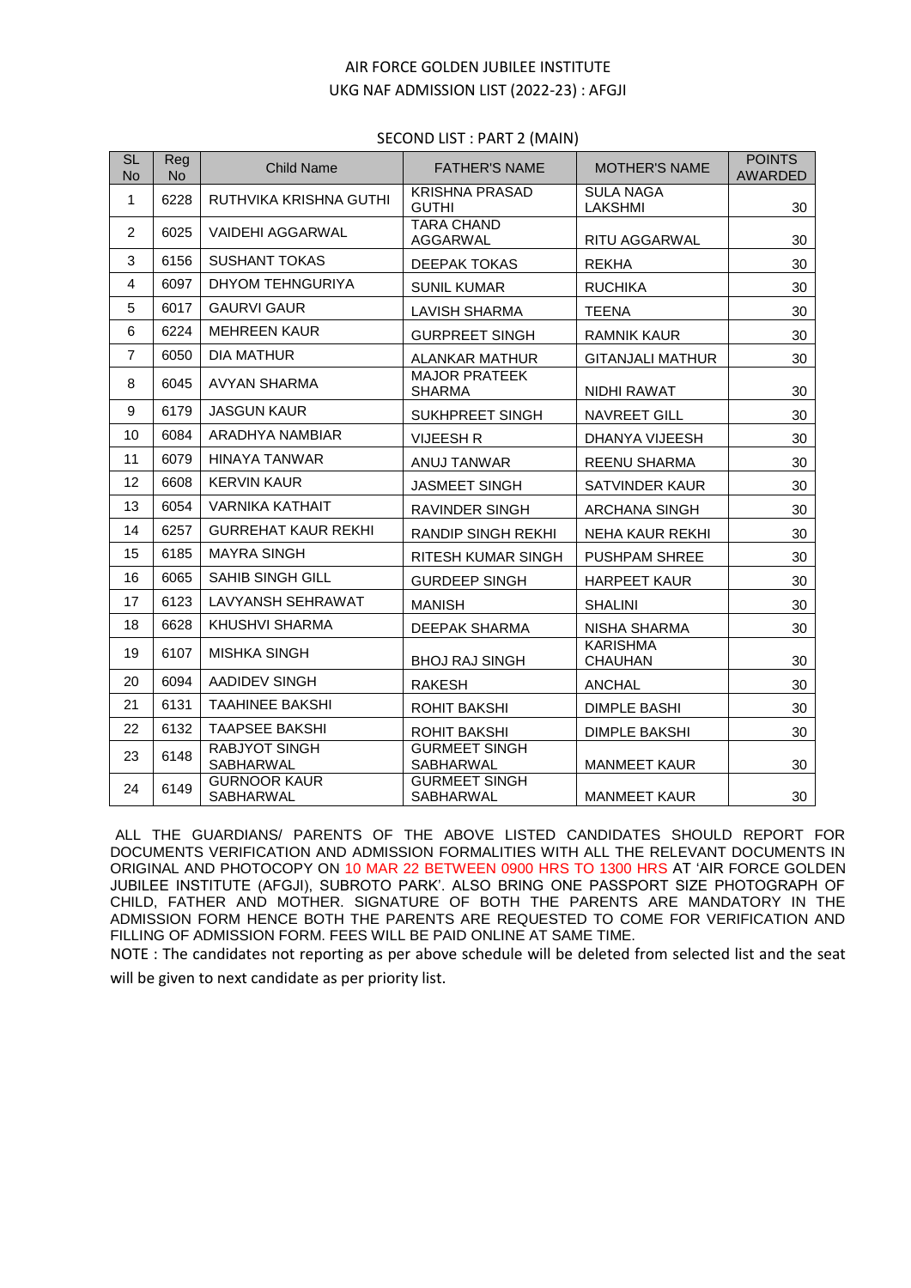## AIR FORCE GOLDEN JUBILEE INSTITUTE UKG NAF ADMISSION LIST (2022-23) : AFGJI

## SECOND LIST : PART 2 (MAIN)

| <b>SL</b><br><b>No</b> | Reg<br><b>No</b> | <b>Child Name</b>                       | <b>FATHER'S NAME</b>                     | <b>MOTHER'S NAME</b>              | <b>POINTS</b><br><b>AWARDED</b> |
|------------------------|------------------|-----------------------------------------|------------------------------------------|-----------------------------------|---------------------------------|
| $\mathbf{1}$           | 6228             | RUTHVIKA KRISHNA GUTHI                  | <b>KRISHNA PRASAD</b><br><b>GUTHI</b>    | <b>SULA NAGA</b><br>LAKSHMI       | 30                              |
| $\overline{2}$         | 6025             | <b>VAIDEHI AGGARWAL</b>                 | <b>TARA CHAND</b><br>AGGARWAL            | RITU AGGARWAL                     | 30                              |
| 3                      | 6156             | <b>SUSHANT TOKAS</b>                    | <b>DEEPAK TOKAS</b>                      | <b>REKHA</b>                      | 30                              |
| $\overline{4}$         | 6097             | DHYOM TEHNGURIYA                        | <b>SUNIL KUMAR</b>                       | <b>RUCHIKA</b>                    | 30                              |
| 5                      | 6017             | <b>GAURVI GAUR</b>                      | <b>LAVISH SHARMA</b>                     | <b>TEENA</b>                      | 30                              |
| 6                      | 6224             | <b>MEHREEN KAUR</b>                     | <b>GURPREET SINGH</b>                    | <b>RAMNIK KAUR</b>                | 30                              |
| $\overline{7}$         | 6050             | <b>DIA MATHUR</b>                       | <b>ALANKAR MATHUR</b>                    | <b>GITANJALI MATHUR</b>           | 30                              |
| 8                      | 6045             | <b>AVYAN SHARMA</b>                     | <b>MAJOR PRATEEK</b><br><b>SHARMA</b>    | NIDHI RAWAT                       | 30                              |
| 9                      | 6179             | <b>JASGUN KAUR</b>                      | <b>SUKHPREET SINGH</b>                   | <b>NAVREET GILL</b>               | 30                              |
| 10                     | 6084             | ARADHYA NAMBIAR                         | <b>VIJEESH R</b>                         | DHANYA VIJEESH                    | 30                              |
| 11                     | 6079             | <b>HINAYA TANWAR</b>                    | ANUJ TANWAR                              | <b>REENU SHARMA</b>               | 30                              |
| 12                     | 6608             | <b>KERVIN KAUR</b>                      | <b>JASMEET SINGH</b>                     | <b>SATVINDER KAUR</b>             | 30                              |
| 13                     | 6054             | <b>VARNIKA KATHAIT</b>                  | RAVINDER SINGH                           | ARCHANA SINGH                     | 30                              |
| 14                     | 6257             | <b>GURREHAT KAUR REKHI</b>              | RANDIP SINGH REKHI                       | NEHA KAUR REKHI                   | 30                              |
| 15                     | 6185             | <b>MAYRA SINGH</b>                      | RITESH KUMAR SINGH                       | <b>PUSHPAM SHREE</b>              | 30                              |
| 16                     | 6065             | <b>SAHIB SINGH GILL</b>                 | <b>GURDEEP SINGH</b>                     | <b>HARPEET KAUR</b>               | 30                              |
| 17                     | 6123             | <b>LAVYANSH SEHRAWAT</b>                | <b>MANISH</b>                            | <b>SHALINI</b>                    | 30                              |
| 18                     | 6628             | KHUSHVI SHARMA                          | <b>DEEPAK SHARMA</b>                     | NISHA SHARMA                      | 30                              |
| 19                     | 6107             | <b>MISHKA SINGH</b>                     | <b>BHOJ RAJ SINGH</b>                    | <b>KARISHMA</b><br><b>CHAUHAN</b> | 30                              |
| 20                     | 6094             | AADIDEV SINGH                           | <b>RAKESH</b>                            | <b>ANCHAL</b>                     | 30                              |
| 21                     | 6131             | TAAHINEE BAKSHI                         | ROHIT BAKSHI                             | <b>DIMPLE BASHI</b>               | 30                              |
| 22                     | 6132             | <b>TAAPSEE BAKSHI</b>                   | ROHIT BAKSHI                             | <b>DIMPLE BAKSHI</b>              | 30                              |
| 23                     | 6148             | <b>RABJYOT SINGH</b><br>SABHARWAL       | <b>GURMEET SINGH</b><br>SABHARWAL        | <b>MANMEET KAUR</b>               | 30                              |
| 24                     | 6149             | <b>GURNOOR KAUR</b><br><b>SABHARWAL</b> | <b>GURMEET SINGH</b><br><b>SABHARWAL</b> | <b>MANMEET KAUR</b>               | 30                              |

ALL THE GUARDIANS/ PARENTS OF THE ABOVE LISTED CANDIDATES SHOULD REPORT FOR DOCUMENTS VERIFICATION AND ADMISSION FORMALITIES WITH ALL THE RELEVANT DOCUMENTS IN ORIGINAL AND PHOTOCOPY ON 10 MAR 22 BETWEEN 0900 HRS TO 1300 HRS AT 'AIR FORCE GOLDEN JUBILEE INSTITUTE (AFGJI), SUBROTO PARK'. ALSO BRING ONE PASSPORT SIZE PHOTOGRAPH OF CHILD, FATHER AND MOTHER. SIGNATURE OF BOTH THE PARENTS ARE MANDATORY IN THE ADMISSION FORM HENCE BOTH THE PARENTS ARE REQUESTED TO COME FOR VERIFICATION AND FILLING OF ADMISSION FORM. FEES WILL BE PAID ONLINE AT SAME TIME.

NOTE : The candidates not reporting as per above schedule will be deleted from selected list and the seat will be given to next candidate as per priority list.